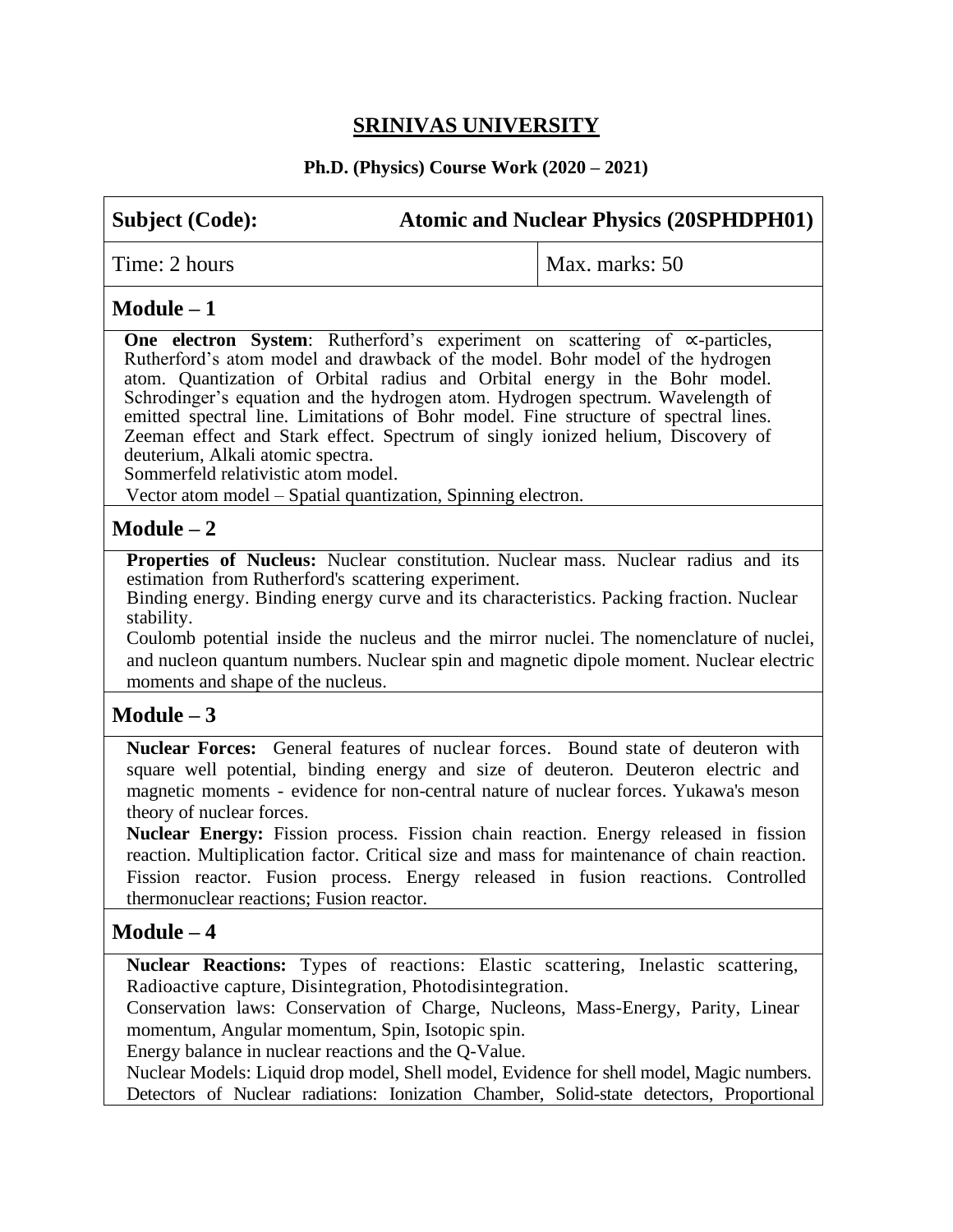# **SRINIVAS UNIVERSITY**

## **Ph.D. (Physics) Course Work (2020 – 2021)**

# **Subject (Code): Atomic and Nuclear Physics (20SPHDPH01)**  $Time: 2 hours$   $Max. marks: 50$ **Module – 1 One electron System**: Rutherford's experiment on scattering of ∝-particles, Rutherford's atom model and drawback of the model. Bohr model of the hydrogen atom. Quantization of Orbital radius and Orbital energy in the Bohr model. Schrodinger's equation and the hydrogen atom. Hydrogen spectrum. Wavelength of emitted spectral line. Limitations of Bohr model. Fine structure of spectral lines. Zeeman effect and Stark effect. Spectrum of singly ionized helium, Discovery of deuterium, Alkali atomic spectra. Sommerfeld relativistic atom model. Vector atom model – Spatial quantization, Spinning electron. **Module – 2 Properties of Nucleus:** Nuclear constitution. Nuclear mass. Nuclear radius and its estimation from Rutherford's scattering experiment. Binding energy. Binding energy curve and its characteristics. Packing fraction. Nuclear stability. Coulomb potential inside the nucleus and the mirror nuclei. The nomenclature of nuclei, and nucleon quantum numbers. Nuclear spin and magnetic dipole moment. Nuclear electric moments and shape of the nucleus. **Module – 3 Nuclear Forces:** General features of nuclear forces. Bound state of deuteron with square well potential, binding energy and size of deuteron. Deuteron electric and magnetic moments - evidence for non-central nature of nuclear forces. Yukawa's meson theory of nuclear forces. **Nuclear Energy:** Fission process. Fission chain reaction. Energy released in fission reaction. Multiplication factor. Critical size and mass for maintenance of chain reaction. Fission reactor. Fusion process. Energy released in fusion reactions. Controlled thermonuclear reactions; Fusion reactor. **Module – 4 Nuclear Reactions:** Types of reactions: Elastic scattering, Inelastic scattering, Radioactive capture, Disintegration, Photodisintegration.

Conservation laws: Conservation of Charge, Nucleons, Mass-Energy, Parity, Linear momentum, Angular momentum, Spin, Isotopic spin.

Energy balance in nuclear reactions and the Q-Value.

Nuclear Models: Liquid drop model, Shell model, Evidence for shell model, Magic numbers. Detectors of Nuclear radiations: Ionization Chamber, Solid-state detectors, Proportional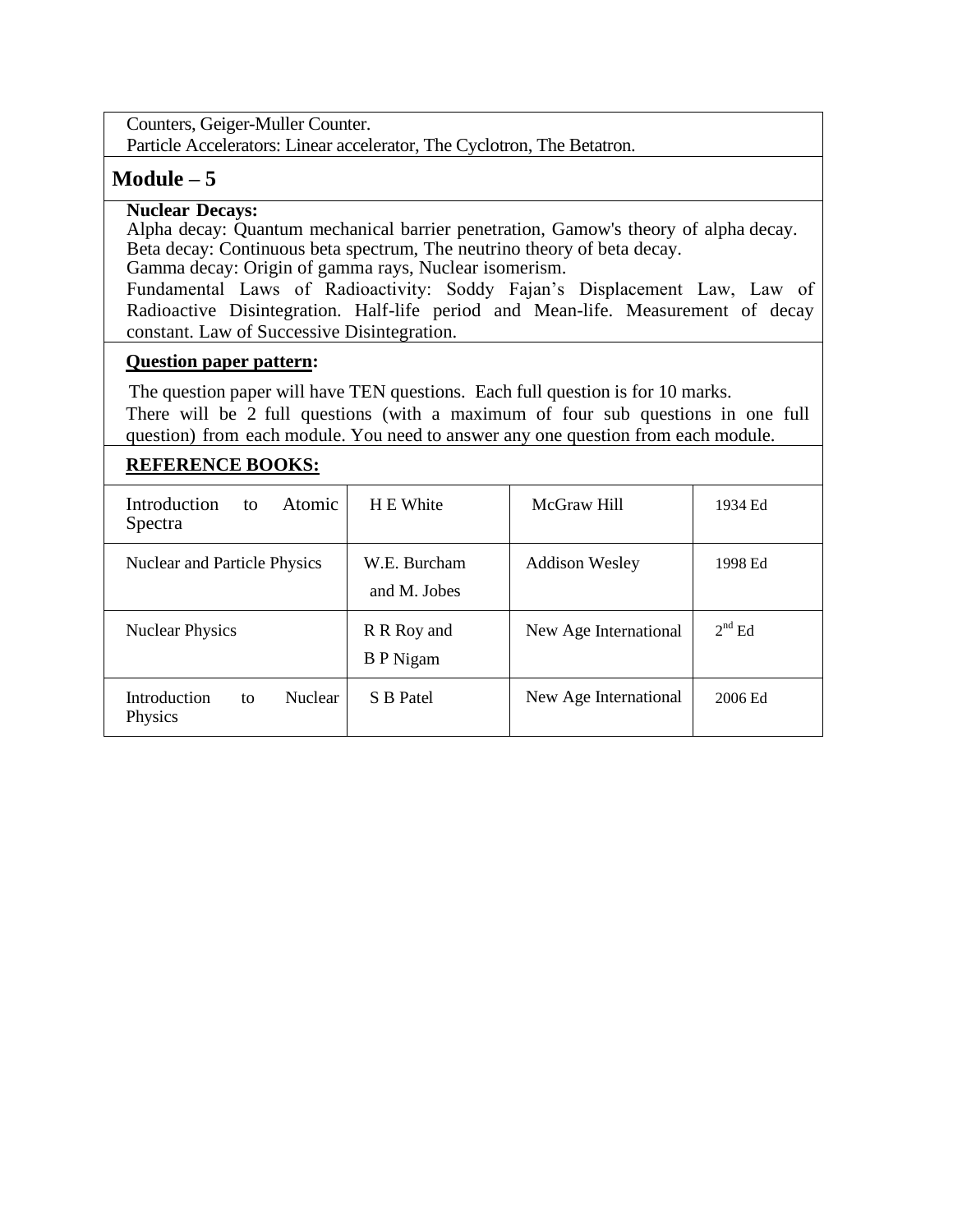Counters, Geiger-Muller Counter.

Particle Accelerators: Linear accelerator, The Cyclotron, The Betatron.

## **Module – 5**

## **Nuclear Decays:**

Alpha decay: Quantum mechanical barrier penetration, Gamow's theory of alpha decay. Beta decay: Continuous beta spectrum, The neutrino theory of beta decay. Gamma decay: Origin of gamma rays, Nuclear isomerism.

Fundamental Laws of Radioactivity: Soddy Fajan's Displacement Law, Law of Radioactive Disintegration. Half-life period and Mean-life. Measurement of decay constant. Law of Successive Disintegration.

### **Question paper pattern:**

The question paper will have TEN questions. Each full question is for 10 marks.

There will be 2 full questions (with a maximum of four sub questions in one full question) from each module. You need to answer any one question from each module.

## **REFERENCE BOOKS:**

| Introduction<br><b>Atomic</b><br>to<br>Spectra  | H E White                       | McGraw Hill           | 1934 Ed  |
|-------------------------------------------------|---------------------------------|-----------------------|----------|
| Nuclear and Particle Physics                    | W.E. Burcham<br>and M. Jobes    | <b>Addison Wesley</b> | 1998 Ed  |
| <b>Nuclear Physics</b>                          | R R Roy and<br><b>B</b> P Nigam | New Age International | $2nd$ Ed |
| Introduction<br><b>Nuclear</b><br>to<br>Physics | S B Patel                       | New Age International | 2006 Ed  |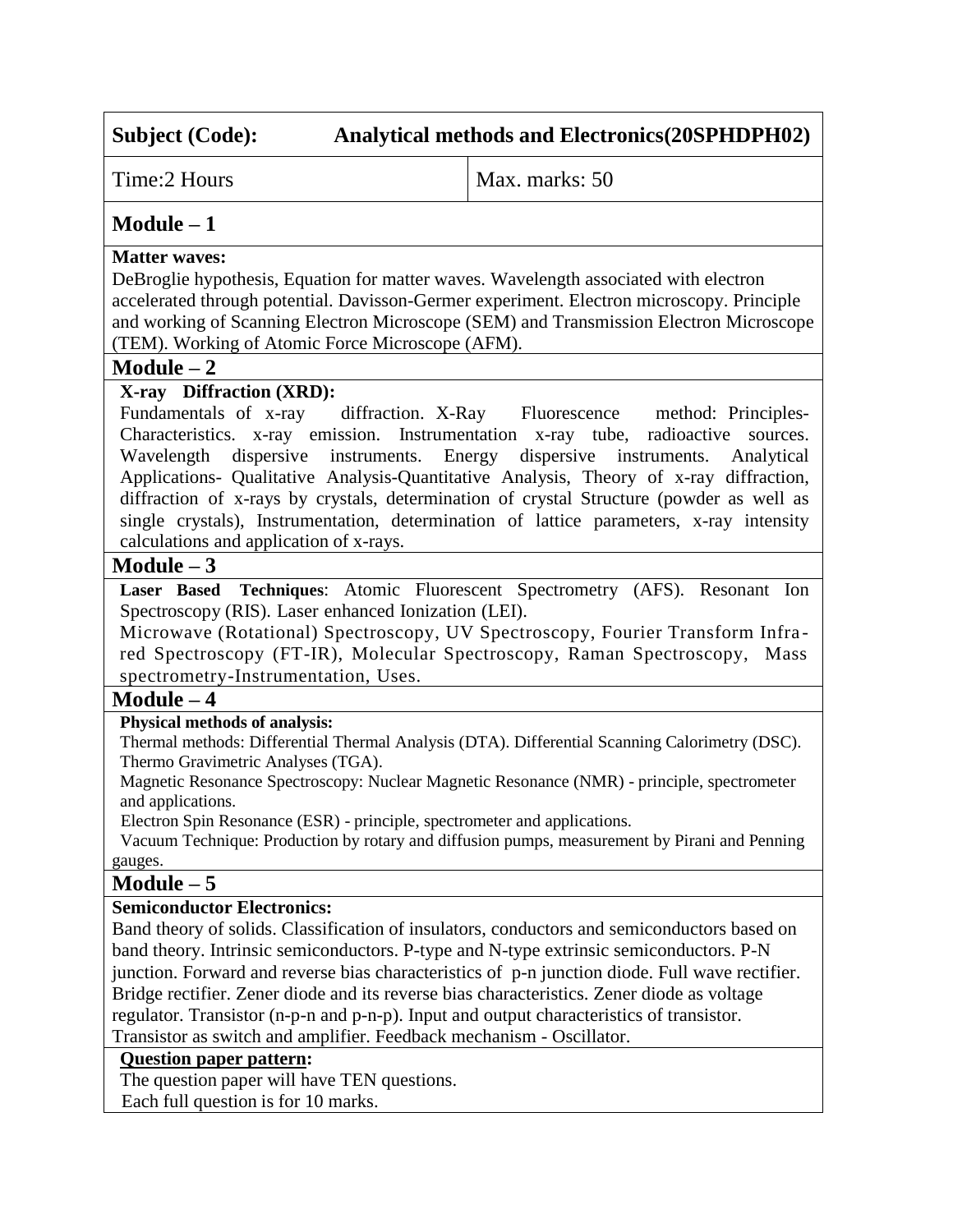Time: 2 Hours Max. marks: 50

## **Module – 1**

### **Matter waves:**

DeBroglie hypothesis, Equation for matter waves. Wavelength associated with electron accelerated through potential. Davisson-Germer experiment. Electron microscopy. Principle and working of Scanning Electron Microscope (SEM) and Transmission Electron Microscope (TEM). Working of Atomic Force Microscope (AFM).

### **Module – 2**

## **X-ray Diffraction (XRD):**

Fundamentals of x-ray diffraction. X-Ray Fluorescence method: Principles-Characteristics. x-ray emission. Instrumentation x-ray tube, radioactive sources. Wavelength dispersive instruments. Energy dispersive instruments. Analytical Applications- Qualitative Analysis-Quantitative Analysis, Theory of x-ray diffraction, diffraction of x-rays by crystals, determination of crystal Structure (powder as well as single crystals), Instrumentation, determination of lattice parameters, x-ray intensity calculations and application of x-rays.

## **Module – 3**

**Laser Based Techniques**: Atomic Fluorescent Spectrometry (AFS). Resonant Ion Spectroscopy (RIS). Laser enhanced Ionization (LEI).

Microwave (Rotational) Spectroscopy, UV Spectroscopy, Fourier Transform Infra red Spectroscopy (FT-IR), Molecular Spectroscopy, Raman Spectroscopy, Mass spectrometry-Instrumentation, Uses.

## **Module – 4**

#### **Physical methods of analysis:**

Thermal methods: Differential Thermal Analysis (DTA). Differential Scanning Calorimetry (DSC). Thermo Gravimetric Analyses (TGA).

Magnetic Resonance Spectroscopy: Nuclear Magnetic Resonance (NMR) - principle, spectrometer and applications.

Electron Spin Resonance (ESR) - principle, spectrometer and applications.

 Vacuum Technique: Production by rotary and diffusion pumps, measurement by Pirani and Penning gauges.

## **Module – 5**

## **Semiconductor Electronics:**

Band theory of solids. Classification of insulators, conductors and semiconductors based on band theory. Intrinsic semiconductors. P-type and N-type extrinsic semiconductors. P-N junction. Forward and reverse bias characteristics of p-n junction diode. Full wave rectifier. Bridge rectifier. Zener diode and its reverse bias characteristics. Zener diode as voltage regulator. Transistor (n-p-n and p-n-p). Input and output characteristics of transistor. Transistor as switch and amplifier. Feedback mechanism - Oscillator.

## **Question paper pattern:**

The question paper will have TEN questions.

Each full question is for 10 marks.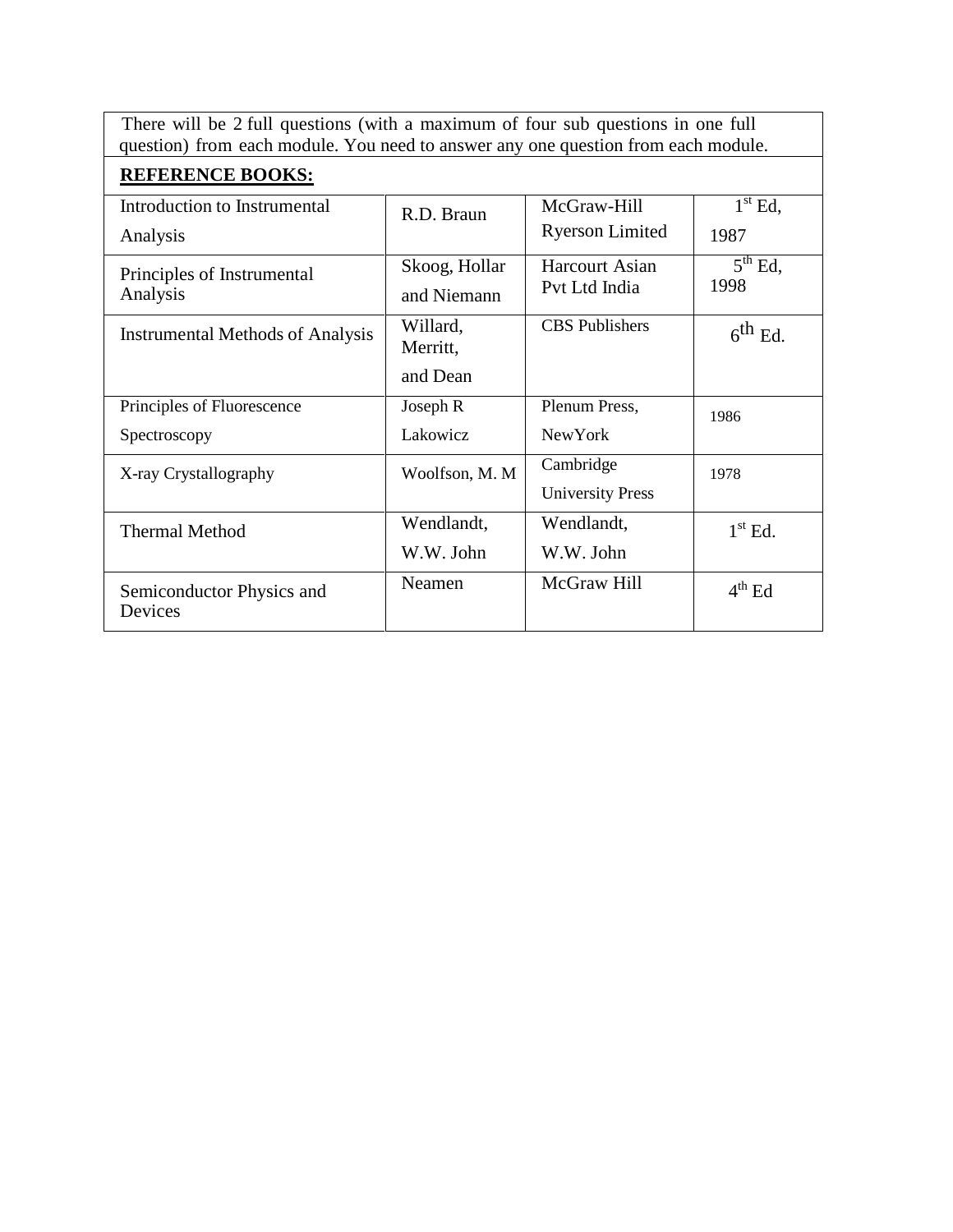There will be 2 full questions (with a maximum of four sub questions in one full question) from each module. You need to answer any one question from each module.

| <b>REFERENCE BOOKS:</b>                 |                      |                         |                                |
|-----------------------------------------|----------------------|-------------------------|--------------------------------|
| Introduction to Instrumental            | R.D. Braun           | McGraw-Hill             | $1st$ Ed,                      |
| Analysis                                |                      | <b>Ryerson Limited</b>  | 1987                           |
| Principles of Instrumental              | Skoog, Hollar        | <b>Harcourt Asian</b>   | $\overline{5}^{\text{th}}$ Ed, |
| Analysis                                | and Niemann          | Pvt Ltd India           | 1998                           |
| <b>Instrumental Methods of Analysis</b> | Willard,<br>Merritt, | <b>CBS</b> Publishers   | $6^{th}$ Ed.                   |
|                                         |                      |                         |                                |
|                                         | and Dean             |                         |                                |
| Principles of Fluorescence              | Joseph R             | Plenum Press,           | 1986                           |
| Spectroscopy                            | Lakowicz             | <b>New York</b>         |                                |
| X-ray Crystallography                   | Woolfson, M. M       | Cambridge               | 1978                           |
|                                         |                      | <b>University Press</b> |                                |
| <b>Thermal Method</b>                   | Wendlandt,           | Wendlandt,              | $1st$ Ed.                      |
|                                         | W.W. John            | W.W. John               |                                |
| Semiconductor Physics and<br>Devices    | Neamen               | McGraw Hill             | $4th$ Ed                       |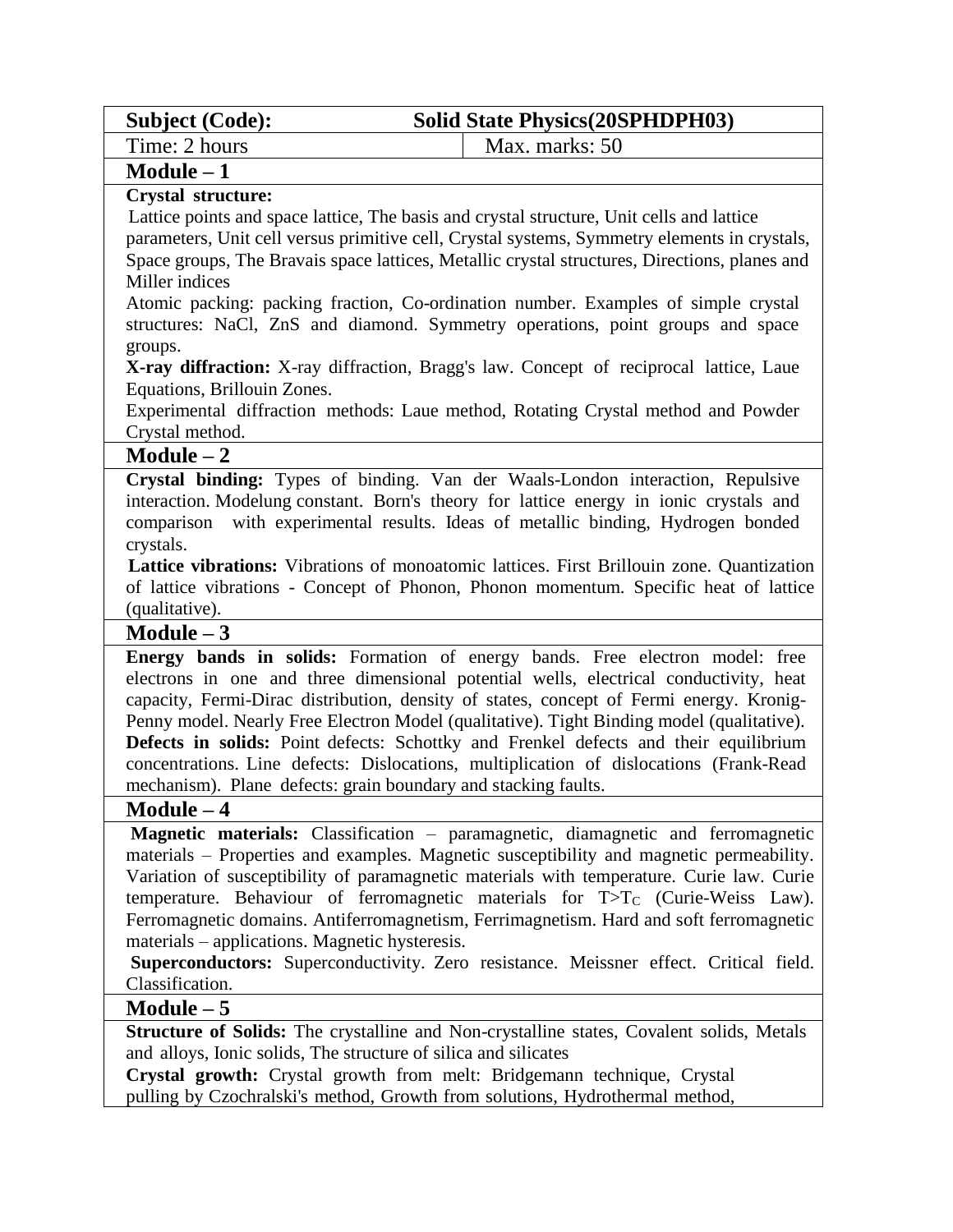| <b>Subject (Code):</b> | <b>Solid State Physics (20SPHDPH03)</b> |  |
|------------------------|-----------------------------------------|--|
| Time: 2 hours          | Max. marks: 50                          |  |

## **Module – 1**

#### **Crystal structure:**

 Lattice points and space lattice, The basis and crystal structure, Unit cells and lattice parameters, Unit cell versus primitive cell, Crystal systems, Symmetry elements in crystals, Space groups, The Bravais space lattices, Metallic crystal structures, Directions, planes and Miller indices

Atomic packing: packing fraction, Co-ordination number. Examples of simple crystal structures: NaCl, ZnS and diamond. Symmetry operations, point groups and space groups.

**X-ray diffraction:** X-ray diffraction, Bragg's law. Concept of reciprocal lattice, Laue Equations, Brillouin Zones.

Experimental diffraction methods: Laue method, Rotating Crystal method and Powder Crystal method.

## **Module – 2**

**Crystal binding:** Types of binding. Van der Waals-London interaction, Repulsive interaction. Modelung constant. Born's theory for lattice energy in ionic crystals and comparison with experimental results. Ideas of metallic binding, Hydrogen bonded crystals.

 **Lattice vibrations:** Vibrations of monoatomic lattices. First Brillouin zone. Quantization of lattice vibrations - Concept of Phonon, Phonon momentum. Specific heat of lattice (qualitative).

#### **Module – 3**

**Energy bands in solids:** Formation of energy bands. Free electron model: free electrons in one and three dimensional potential wells, electrical conductivity, heat capacity, Fermi-Dirac distribution, density of states, concept of Fermi energy. Kronig-Penny model. Nearly Free Electron Model (qualitative). Tight Binding model (qualitative). **Defects in solids:** Point defects: Schottky and Frenkel defects and their equilibrium concentrations. Line defects: Dislocations, multiplication of dislocations (Frank-Read mechanism). Plane defects: grain boundary and stacking faults.

#### **Module – 4**

**Magnetic materials:** Classification – paramagnetic, diamagnetic and ferromagnetic materials – Properties and examples. Magnetic susceptibility and magnetic permeability. Variation of susceptibility of paramagnetic materials with temperature. Curie law. Curie temperature. Behaviour of ferromagnetic materials for  $T>T_C$  (Curie-Weiss Law). Ferromagnetic domains. Antiferromagnetism, Ferrimagnetism. Hard and soft ferromagnetic materials – applications. Magnetic hysteresis.

**Superconductors:** Superconductivity. Zero resistance. Meissner effect. Critical field. Classification.

## **Module – 5**

**Structure of Solids:** The crystalline and Non-crystalline states, Covalent solids, Metals and alloys, Ionic solids, The structure of silica and silicates

**Crystal growth:** Crystal growth from melt: Bridgemann technique, Crystal pulling by Czochralski's method, Growth from solutions, Hydrothermal method,